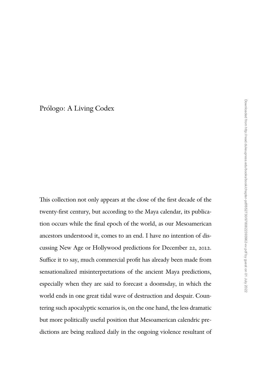## Prólogo: A Living Codex

This collection not only appears at the close of the first decade of the twenty- first century, but according to the Maya calendar, its publication occurs while the final epoch of the world, as our Mesoamerican ancestors understood it, comes to an end. I have no intention of discussing New Age or Hollywood predictions for December 22, 2012. Suffice it to say, much commercial profit has already been made from sensationalized misinterpretations of the ancient Maya predictions, especially when they are said to forecast a doomsday, in which the world ends in one great tidal wave of destruction and despair. Countering such apocalyptic scenarios is, on the one hand, the less dramatic but more politically useful position that Mesoamerican calendric predictions are being realized daily in the ongoing violence resultant of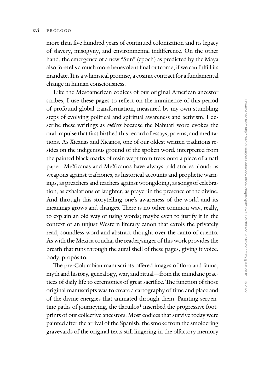Downloaded from http://read.dukeupress.edu/books/book/chapter-pdf/652730/9780822393962-xv.pdf by guest on 01 July 2022 Downloaded from http://read.dukeupress.edu/books/book/chapter-pdf/652730/9780822393962-xv.pdf by guest on 01 July 2022

more than five hundred years of continued colonization and its legacy of slavery, misogyny, and environmental indifference. On the other hand, the emergence of a new "Sun" (epoch) as predicted by the Maya also foretells a much more benevolent final outcome, if we can fulfill its mandate. It is a whimsical promise, a cosmic contract for a fundamental change in human consciousness.

 Like the Mesoamerican codices of our original American ancestor scribes, I use these pages to reflect on the imminence of this period of profound global transformation, measured by my own stumbling steps of evolving political and spiritual awareness and activism. I describe these writings as *codices* because the Nahuatl word evokes the oral impulse that first birthed this record of essays, poems, and meditations. As Xicanas and Xicanos, one of our oldest written traditions resides on the indigenous ground of the spoken word, interpreted from the painted black marks of resin wept from trees onto a piece of amatl paper. MeXicanas and MeXicanos have always told stories aloud: as weapons against traíciones, as historical accounts and prophetic warnings, as preachers and teachers against wrongdoing, as songs of celebration, as exhalations of laughter, as prayer in the presence of the divine. And through this storytelling one's awareness of the world and its meanings grows and changes. There is no other common way, really, to explain an old way of using words; maybe even to justify it in the context of an unjust Western literary canon that extols the privately read, soundless word and abstract thought over the canto of cuento. As with the Mexica concha, the reader/singer of this work provides the breath that runs through the aural shell of these pages, giving it voice, body, propósito.

The pre-Columbian manuscripts offered images of flora and fauna, myth and history, genealogy, war, and ritual—from the mundane practices of daily life to ceremonies of great sacrifice. The function of those original manuscripts was to create a cartography of time and place and of the divine energies that animated through them. Painting serpentine paths of journeying, the tlacuilos<sup>1</sup> inscribed the progressive footprints of our collective ancestors. Most codices that survive today were painted after the arrival of the Spanish, the smoke from the smoldering graveyards of the original texts still lingering in the olfactory memory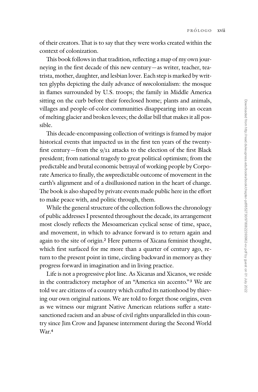of their creators. That is to say that they were works created within the context of colonization.

 This book follows in that tradition, reflecting a map of my own journeying in the first decade of this new century—as writer, teacher, teatrista, mother, daughter, and lesbian lover. Each step is marked by written glyphs depicting the daily advance of *neo*colonialism: the mosque in flames surrounded by U.S. troops; the family in Middle America sitting on the curb before their foreclosed home; plants and animals, villages and people-of-color communities disappearing into an ocean of melting glacier and broken levees; the dollar bill that makes it all possible.

 This decade- encompassing collection of writings is framed by major historical events that impacted us in the first ten years of the twentyfirst century—from the 9/11 attacks to the election of the first Black president; from national tragedy to great political optimism; from the predictable and brutal economic betrayal of working people by Corporate America to finally, the *un*predictable outcome of movement in the earth's alignment and of a disillusioned nation in the heart of change. The book is also shaped by private events made public here in the effort to make peace with, and politic through, them.

 While the general structure of the collection follows the chronology of public addresses I presented throughout the decade, its arrangement most closely reflects the Mesoamerican cyclical sense of time, space, and movement, in which to advance forward is to return again and again to the site of origin.2 Here patterns of Xicana feminist thought, which first surfaced for me more than a quarter of century ago, return to the present point in time, circling backward in memory as they progress forward in imagination and in living practice.

 Life is not a progressive plot line. As Xicanas and Xicanos, we reside in the contradictory metaphor of an "America sin accento."3 We are told we are citizens of a country which crafted its nationhood by thieving our own original nations. We are told to forget those origins, even as we witness our migrant Native American relations suffer a statesanctioned racism and an abuse of civil rights unparalleled in this country since Jim Crow and Japanese internment during the Second World War.<sup>4</sup>